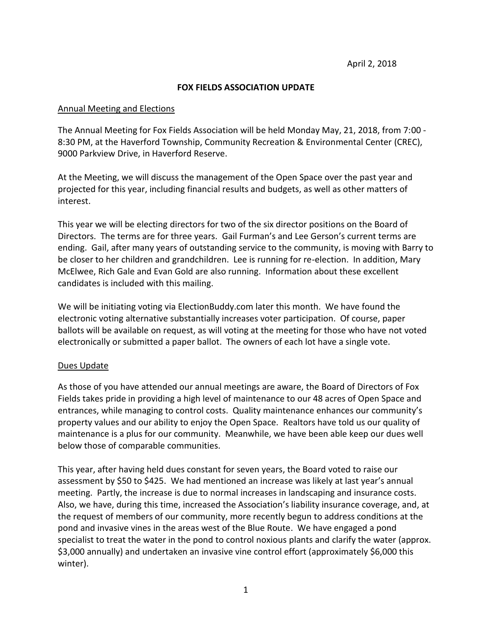## **FOX FIELDS ASSOCIATION UPDATE**

## Annual Meeting and Elections

The Annual Meeting for Fox Fields Association will be held Monday May, 21, 2018, from 7:00 - 8:30 PM, at the Haverford Township, Community Recreation & Environmental Center (CREC), 9000 Parkview Drive, in Haverford Reserve.

At the Meeting, we will discuss the management of the Open Space over the past year and projected for this year, including financial results and budgets, as well as other matters of interest.

This year we will be electing directors for two of the six director positions on the Board of Directors. The terms are for three years. Gail Furman's and Lee Gerson's current terms are ending. Gail, after many years of outstanding service to the community, is moving with Barry to be closer to her children and grandchildren. Lee is running for re-election. In addition, Mary McElwee, Rich Gale and Evan Gold are also running. Information about these excellent candidates is included with this mailing.

We will be initiating voting via ElectionBuddy.com later this month. We have found the electronic voting alternative substantially increases voter participation. Of course, paper ballots will be available on request, as will voting at the meeting for those who have not voted electronically or submitted a paper ballot. The owners of each lot have a single vote.

## Dues Update

As those of you have attended our annual meetings are aware, the Board of Directors of Fox Fields takes pride in providing a high level of maintenance to our 48 acres of Open Space and entrances, while managing to control costs. Quality maintenance enhances our community's property values and our ability to enjoy the Open Space. Realtors have told us our quality of maintenance is a plus for our community. Meanwhile, we have been able keep our dues well below those of comparable communities.

This year, after having held dues constant for seven years, the Board voted to raise our assessment by \$50 to \$425. We had mentioned an increase was likely at last year's annual meeting. Partly, the increase is due to normal increases in landscaping and insurance costs. Also, we have, during this time, increased the Association's liability insurance coverage, and, at the request of members of our community, more recently begun to address conditions at the pond and invasive vines in the areas west of the Blue Route. We have engaged a pond specialist to treat the water in the pond to control noxious plants and clarify the water (approx. \$3,000 annually) and undertaken an invasive vine control effort (approximately \$6,000 this winter).